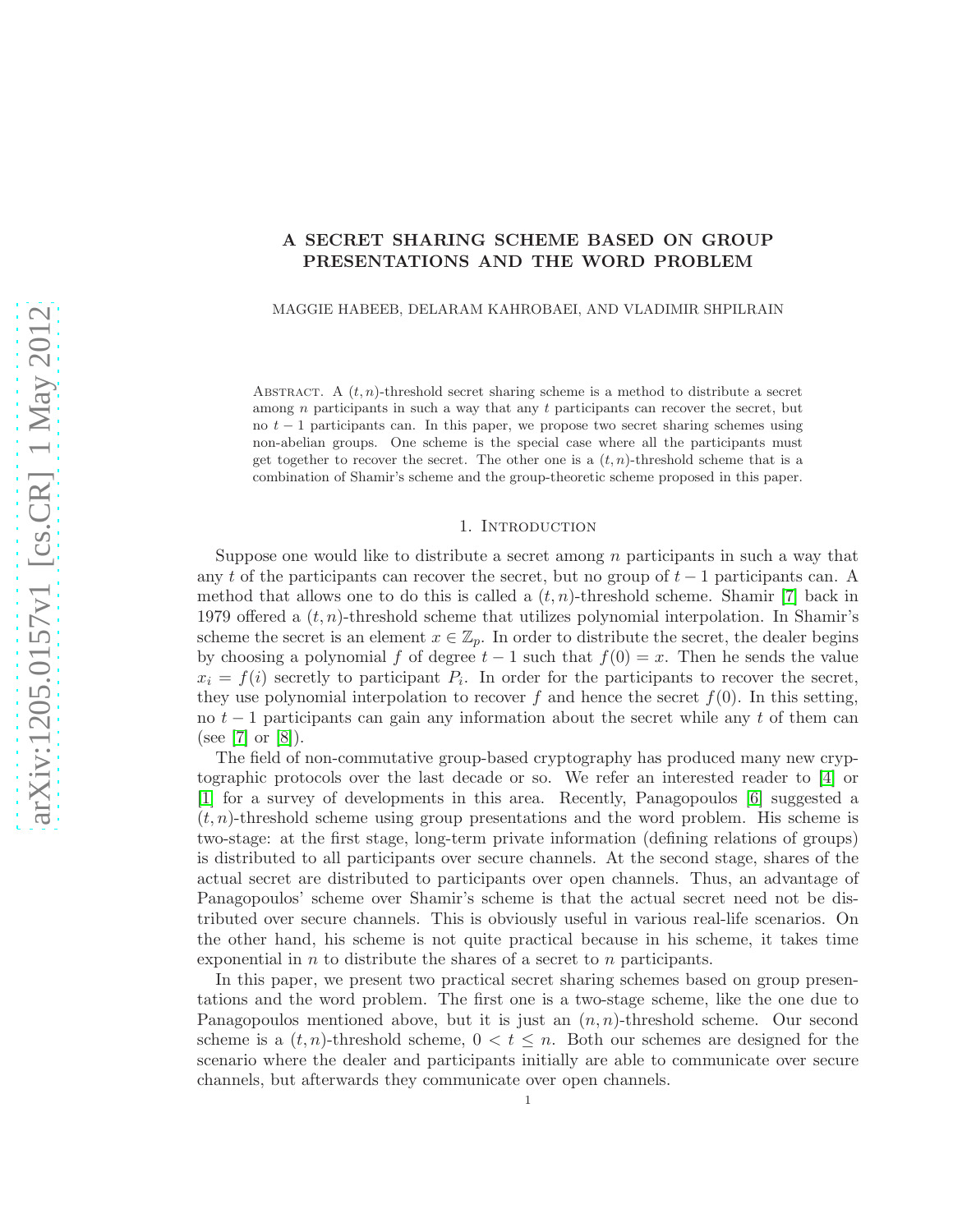# A SECRET SHARING SCHEME BASED ON GROUP PRESENTATIONS AND THE WORD PROBLEM

MAGGIE HABEEB, DELARAM KAHROBAEI, AND VLADIMIR SHPILRAIN

ABSTRACT. A  $(t, n)$ -threshold secret sharing scheme is a method to distribute a secret among  $n$  participants in such a way that any  $t$  participants can recover the secret, but no  $t - 1$  participants can. In this paper, we propose two secret sharing schemes using non-abelian groups. One scheme is the special case where all the participants must get together to recover the secret. The other one is a  $(t, n)$ -threshold scheme that is a combination of Shamir's scheme and the group-theoretic scheme proposed in this paper.

#### 1. Introduction

Suppose one would like to distribute a secret among  $n$  participants in such a way that any t of the participants can recover the secret, but no group of  $t-1$  participants can. A method that allows one to do this is called a  $(t, n)$ -threshold scheme. Shamir [\[7\]](#page-7-0) back in 1979 offered a  $(t, n)$ -threshold scheme that utilizes polynomial interpolation. In Shamir's scheme the secret is an element  $x \in \mathbb{Z}_p$ . In order to distribute the secret, the dealer begins by choosing a polynomial f of degree  $t - 1$  such that  $f(0) = x$ . Then he sends the value  $x_i = f(i)$  secretly to participant  $P_i$ . In order for the participants to recover the secret, they use polynomial interpolation to recover f and hence the secret  $f(0)$ . In this setting, no  $t-1$  participants can gain any information about the secret while any t of them can (see [\[7\]](#page-7-0) or [\[8\]](#page-7-1)).

The field of non-commutative group-based cryptography has produced many new cryptographic protocols over the last decade or so. We refer an interested reader to [\[4\]](#page-7-2) or [\[1\]](#page-7-3) for a survey of developments in this area. Recently, Panagopoulos [\[6\]](#page-7-4) suggested a  $(t, n)$ -threshold scheme using group presentations and the word problem. His scheme is two-stage: at the first stage, long-term private information (defining relations of groups) is distributed to all participants over secure channels. At the second stage, shares of the actual secret are distributed to participants over open channels. Thus, an advantage of Panagopoulos' scheme over Shamir's scheme is that the actual secret need not be distributed over secure channels. This is obviously useful in various real-life scenarios. On the other hand, his scheme is not quite practical because in his scheme, it takes time exponential in  $n$  to distribute the shares of a secret to  $n$  participants.

In this paper, we present two practical secret sharing schemes based on group presentations and the word problem. The first one is a two-stage scheme, like the one due to Panagopoulos mentioned above, but it is just an  $(n, n)$ -threshold scheme. Our second scheme is a  $(t, n)$ -threshold scheme,  $0 < t \leq n$ . Both our schemes are designed for the scenario where the dealer and participants initially are able to communicate over secure channels, but afterwards they communicate over open channels.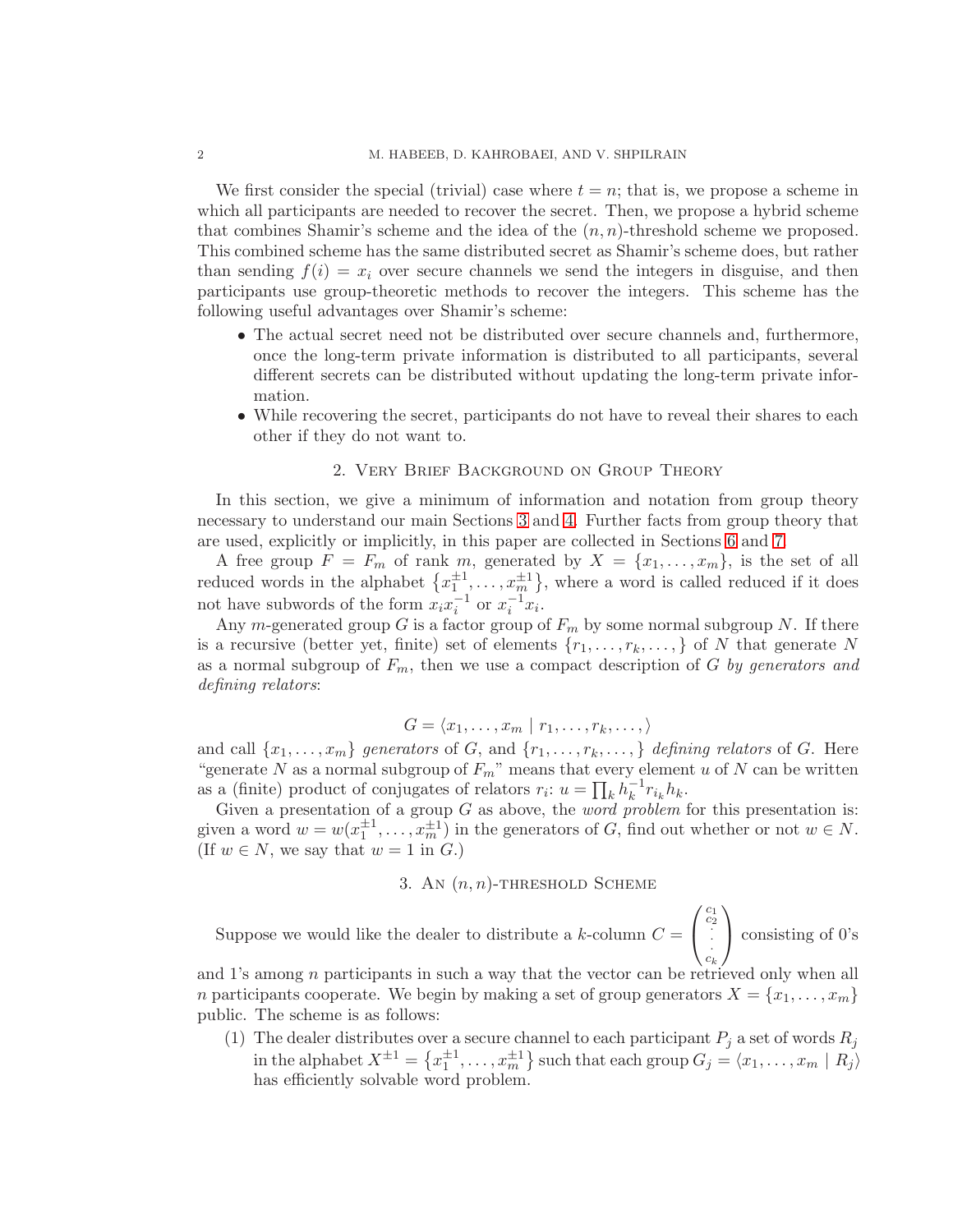We first consider the special (trivial) case where  $t = n$ ; that is, we propose a scheme in which all participants are needed to recover the secret. Then, we propose a hybrid scheme that combines Shamir's scheme and the idea of the  $(n, n)$ -threshold scheme we proposed. This combined scheme has the same distributed secret as Shamir's scheme does, but rather than sending  $f(i) = x_i$  over secure channels we send the integers in disguise, and then participants use group-theoretic methods to recover the integers. This scheme has the following useful advantages over Shamir's scheme:

- The actual secret need not be distributed over secure channels and, furthermore, once the long-term private information is distributed to all participants, several different secrets can be distributed without updating the long-term private information.
- While recovering the secret, participants do not have to reveal their shares to each other if they do not want to.

### 2. Very Brief Background on Group Theory

In this section, we give a minimum of information and notation from group theory necessary to understand our main Sections [3](#page-1-0) and [4.](#page-3-0) Further facts from group theory that are used, explicitly or implicitly, in this paper are collected in Sections [6](#page-4-0) and [7.](#page-5-0)

A free group  $F = F_m$  of rank m, generated by  $X = \{x_1, \ldots, x_m\}$ , is the set of all reduced words in the alphabet  $\{x_1^{\pm 1}, \ldots, x_m^{\pm 1}\}$ , where a word is called reduced if it does not have subwords of the form  $x_i x_i^{-1}$  or  $x_i^{-1} x_i$ .

Any m-generated group G is a factor group of  $F_m$  by some normal subgroup N. If there is a recursive (better yet, finite) set of elements  $\{r_1, \ldots, r_k, \ldots\}$  of N that generate N as a normal subgroup of  $F_m$ , then we use a compact description of G by generators and defining relators:

$$
G = \langle x_1, \ldots, x_m \mid r_1, \ldots, r_k, \ldots, \rangle
$$

and call  $\{x_1, \ldots, x_m\}$  generators of G, and  $\{r_1, \ldots, r_k, \ldots\}$  defining relators of G. Here "generate N as a normal subgroup of  $F_m$ " means that every element u of N can be written as a (finite) product of conjugates of relators  $r_i$ :  $u = \prod_k h_k^{-1}$  $k^{-1}r_{i_k}h_k.$ 

Given a presentation of a group  $G$  as above, the *word problem* for this presentation is: given a word  $w = w(x_1^{\pm 1}, \ldots, x_m^{\pm 1})$  in the generators of G, find out whether or not  $w \in N$ . (If  $w \in N$ , we say that  $w = 1$  in  $G$ .)

3. AN  $(n, n)$ -THRESHOLD SCHEME

<span id="page-1-0"></span>Suppose we would like the dealer to distribute a  $k$ -column  $C =$  $\sqrt{ }$  $\overline{1}$  $\begin{array}{c} c_1 \\ c_2 \\ \vdots \\ c_k \end{array}$  $\setminus$ consisting of 0's

and 1's among  $n$  participants in such a way that the vector can be retrieved only when all n participants cooperate. We begin by making a set of group generators  $X = \{x_1, \ldots, x_m\}$ public. The scheme is as follows:

(1) The dealer distributes over a secure channel to each participant  $P_j$  a set of words  $R_j$ in the alphabet  $X^{\pm 1} = \left\{ x_1^{\pm 1}, \ldots, x_m^{\pm 1} \right\}$  such that each group  $G_j = \langle x_1, \ldots, x_m | R_j \rangle$ has efficiently solvable word problem.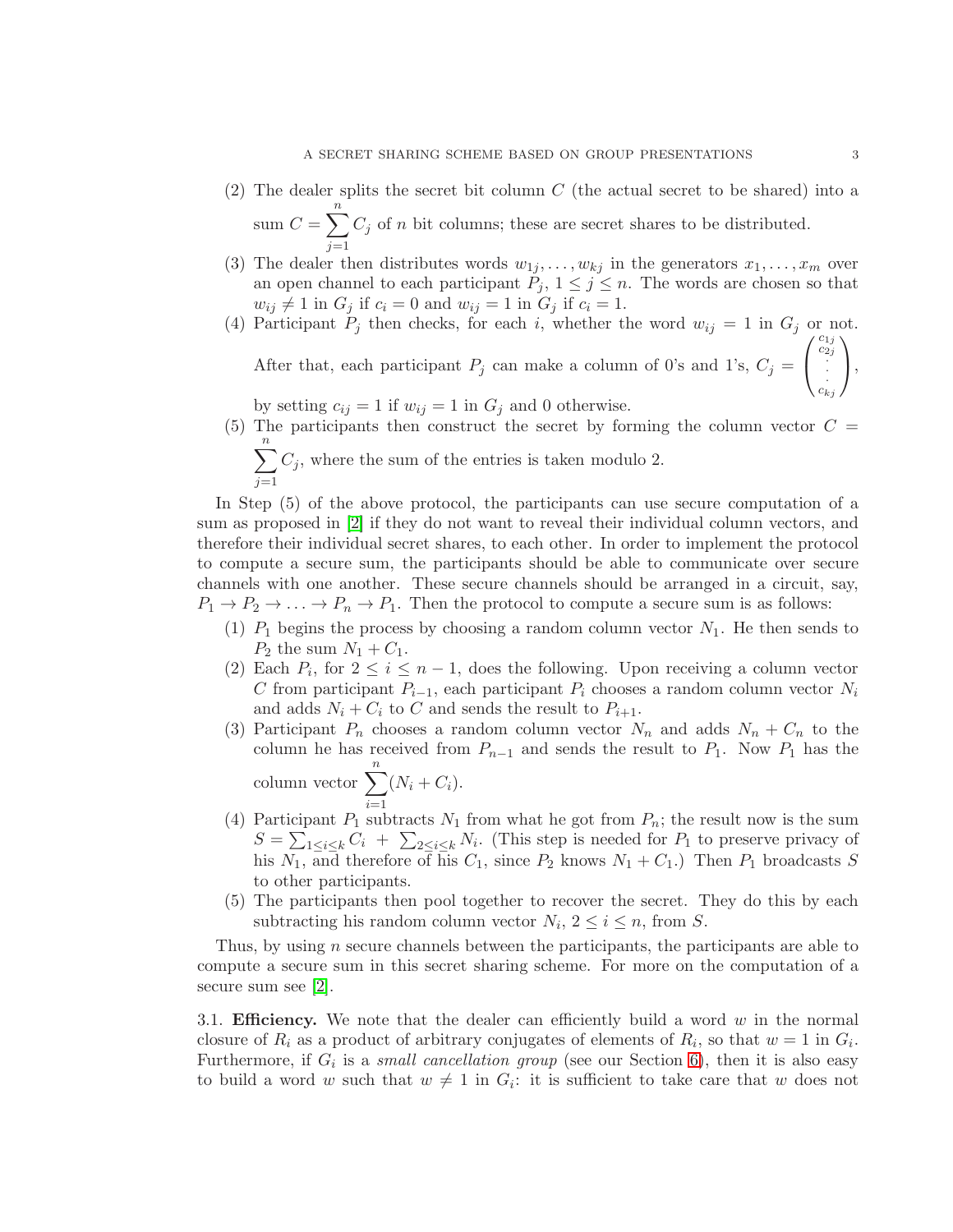- (2) The dealer splits the secret bit column C (the actual secret to be shared) into a sum  $C = \sum_{n=1}^{n}$  $C_j$  of n bit columns; these are secret shares to be distributed.
- $j=1$ (3) The dealer then distributes words  $w_{1j}, \ldots, w_{kj}$  in the generators  $x_1, \ldots, x_m$  over an open channel to each participant  $P_j$ ,  $1 \leq j \leq n$ . The words are chosen so that  $w_{ij} \neq 1$  in  $G_j$  if  $c_i = 0$  and  $w_{ij} = 1$  in  $G_j$  if  $c_i = 1$ .
- (4) Participant  $P_j$  then checks, for each i, whether the word  $w_{ij} = 1$  in  $G_j$  or not. After that, each participant  $P_j$  can make a column of 0's and 1's,  $C_j =$  $\sqrt{ }$  $\begin{array}{c} c_{1j} \\ c_{2j} \\ \vdots \\ c_{kj} \end{array}$  $\setminus$  $\vert$ ,

by setting  $c_{ij} = 1$  if  $w_{ij} = 1$  in  $G_j$  and 0 otherwise.

(5) The participants then construct the secret by forming the column vector  $C =$  $\sum_{n=1}^{\infty}$  $j=1$  $C_j$ , where the sum of the entries is taken modulo 2.

In Step (5) of the above protocol, the participants can use secure computation of a sum as proposed in [\[2\]](#page-7-5) if they do not want to reveal their individual column vectors, and therefore their individual secret shares, to each other. In order to implement the protocol to compute a secure sum, the participants should be able to communicate over secure channels with one another. These secure channels should be arranged in a circuit, say,  $P_1 \to P_2 \to \ldots \to P_n \to P_1$ . Then the protocol to compute a secure sum is as follows:

- (1)  $P_1$  begins the process by choosing a random column vector  $N_1$ . He then sends to  $P_2$  the sum  $N_1 + C_1$ .
- (2) Each  $P_i$ , for  $2 \leq i \leq n-1$ , does the following. Upon receiving a column vector C from participant  $P_{i-1}$ , each participant  $P_i$  chooses a random column vector  $N_i$ and adds  $N_i + C_i$  to C and sends the result to  $P_{i+1}$ .
- (3) Participant  $P_n$  chooses a random column vector  $N_n$  and adds  $N_n + C_n$  to the column he has received from  $P_{n-1}$  and sends the result to  $P_1$ . Now  $P_1$  has the column vector  $\sum_{n=1}^n$  $i=1$  $(N_i + C_i).$
- (4) Participant  $P_1$  subtracts  $N_1$  from what he got from  $P_n$ ; the result now is the sum  $S = \sum_{1 \leq i \leq k} C_i + \sum_{2 \leq i \leq k} N_i$ . (This step is needed for  $P_1$  to preserve privacy of his  $N_1$ , and therefore of his  $C_1$ , since  $P_2$  knows  $N_1 + C_1$ .) Then  $P_1$  broadcasts S to other participants.
- (5) The participants then pool together to recover the secret. They do this by each subtracting his random column vector  $N_i$ ,  $2 \le i \le n$ , from S.

Thus, by using  $n$  secure channels between the participants, the participants are able to compute a secure sum in this secret sharing scheme. For more on the computation of a secure sum see [\[2\]](#page-7-5).

3.1. **Efficiency.** We note that the dealer can efficiently build a word  $w$  in the normal closure of  $R_i$  as a product of arbitrary conjugates of elements of  $R_i$ , so that  $w = 1$  in  $G_i$ . Furthermore, if  $G_i$  is a *small cancellation group* (see our Section [6\)](#page-4-0), then it is also easy to build a word w such that  $w \neq 1$  in  $G_i$ : it is sufficient to take care that w does not

 $\overline{1}$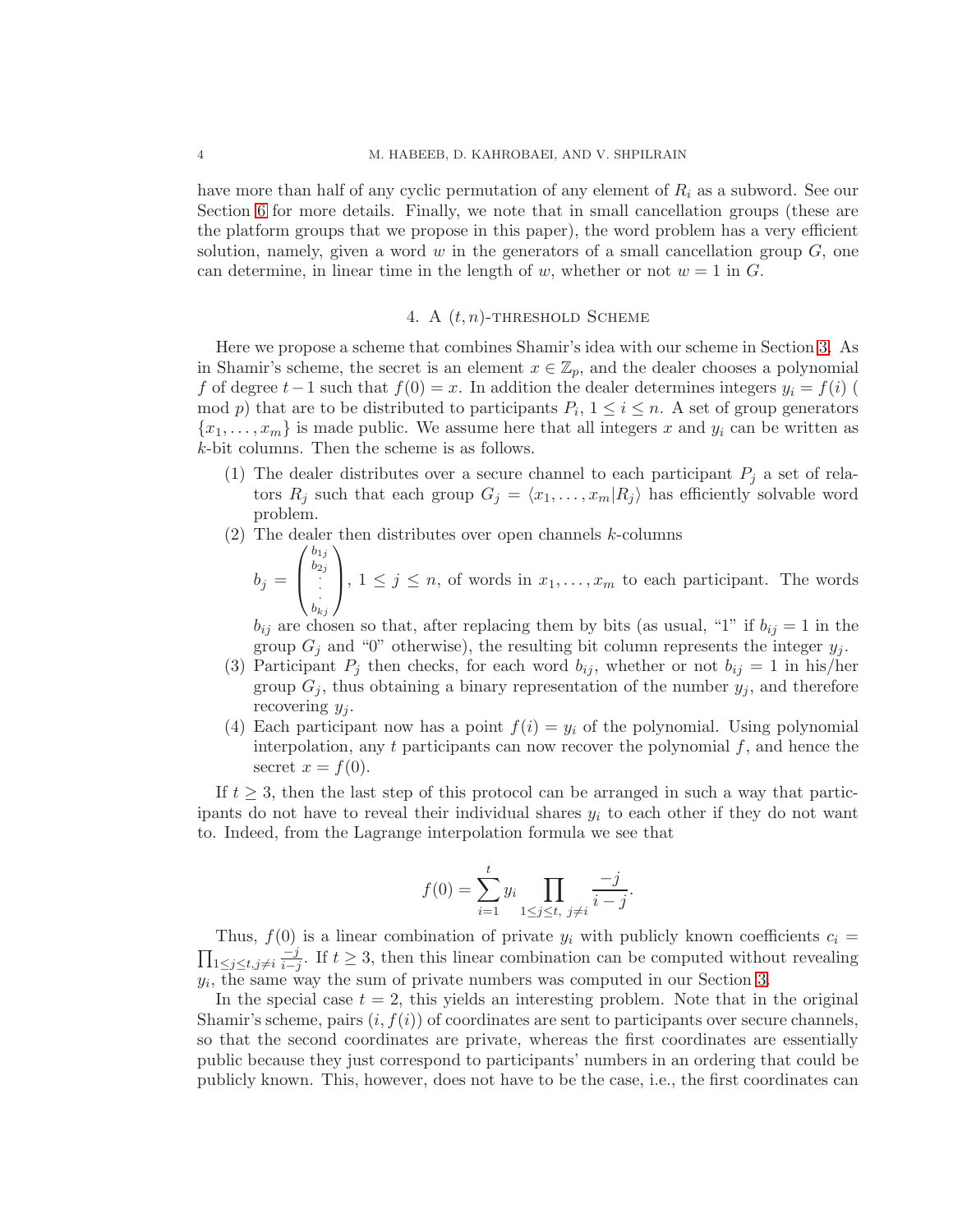have more than half of any cyclic permutation of any element of  $R_i$  as a subword. See our Section [6](#page-4-0) for more details. Finally, we note that in small cancellation groups (these are the platform groups that we propose in this paper), the word problem has a very efficient solution, namely, given a word  $w$  in the generators of a small cancellation group  $G$ , one can determine, in linear time in the length of w, whether or not  $w = 1$  in G.

# 4. A  $(t, n)$ -THRESHOLD SCHEME

<span id="page-3-0"></span>Here we propose a scheme that combines Shamir's idea with our scheme in Section [3.](#page-1-0) As in Shamir's scheme, the secret is an element  $x \in \mathbb{Z}_p$ , and the dealer chooses a polynomial f of degree  $t-1$  such that  $f(0) = x$ . In addition the dealer determines integers  $y_i = f(i)$ mod p) that are to be distributed to participants  $P_i$ ,  $1 \leq i \leq n$ . A set of group generators  ${x_1, \ldots, x_m}$  is made public. We assume here that all integers x and  $y_i$  can be written as k-bit columns. Then the scheme is as follows.

- (1) The dealer distributes over a secure channel to each participant  $P_i$  a set of relators  $R_j$  such that each group  $G_j = \langle x_1, \ldots, x_m | R_j \rangle$  has efficiently solvable word problem.
- (2) The dealer then distributes over open channels  $k$ -columns

$$
b_j = \begin{pmatrix} b_{1j} \\ b_{2j} \\ \vdots \\ b_{kj} \end{pmatrix}, 1 \le j \le n, \text{ of words in } x_1, \dots, x_m \text{ to each participant. The words}
$$

 $b_{ij}$  are chosen so that, after replacing them by bits (as usual, "1" if  $b_{ij} = 1$  in the group  $G_j$  and "0" otherwise), the resulting bit column represents the integer  $y_j$ .

- (3) Participant  $P_i$  then checks, for each word  $b_{ij}$ , whether or not  $b_{ij} = 1$  in his/her group  $G_j$ , thus obtaining a binary representation of the number  $y_j$ , and therefore recovering  $y_i$ .
- (4) Each participant now has a point  $f(i) = y_i$  of the polynomial. Using polynomial interpolation, any t participants can now recover the polynomial  $f$ , and hence the secret  $x = f(0)$ .

If  $t \geq 3$ , then the last step of this protocol can be arranged in such a way that participants do not have to reveal their individual shares  $y_i$  to each other if they do not want to. Indeed, from the Lagrange interpolation formula we see that

$$
f(0) = \sum_{i=1}^{t} y_i \prod_{1 \le j \le t, \ j \ne i} \frac{-j}{i-j}.
$$

Thus,  $f(0)$  is a linear combination of private  $y_i$  with publicly known coefficients  $c_i =$  $\prod_{1\leq j\leq t,j\neq i}$  $-i$  $\frac{-j}{i-j}$ . If  $t \geq 3$ , then this linear combination can be computed without revealing  $y_i$ , the same way the sum of private numbers was computed in our Section [3.](#page-1-0)

In the special case  $t = 2$ , this yields an interesting problem. Note that in the original Shamir's scheme, pairs  $(i, f(i))$  of coordinates are sent to participants over secure channels, so that the second coordinates are private, whereas the first coordinates are essentially public because they just correspond to participants' numbers in an ordering that could be publicly known. This, however, does not have to be the case, i.e., the first coordinates can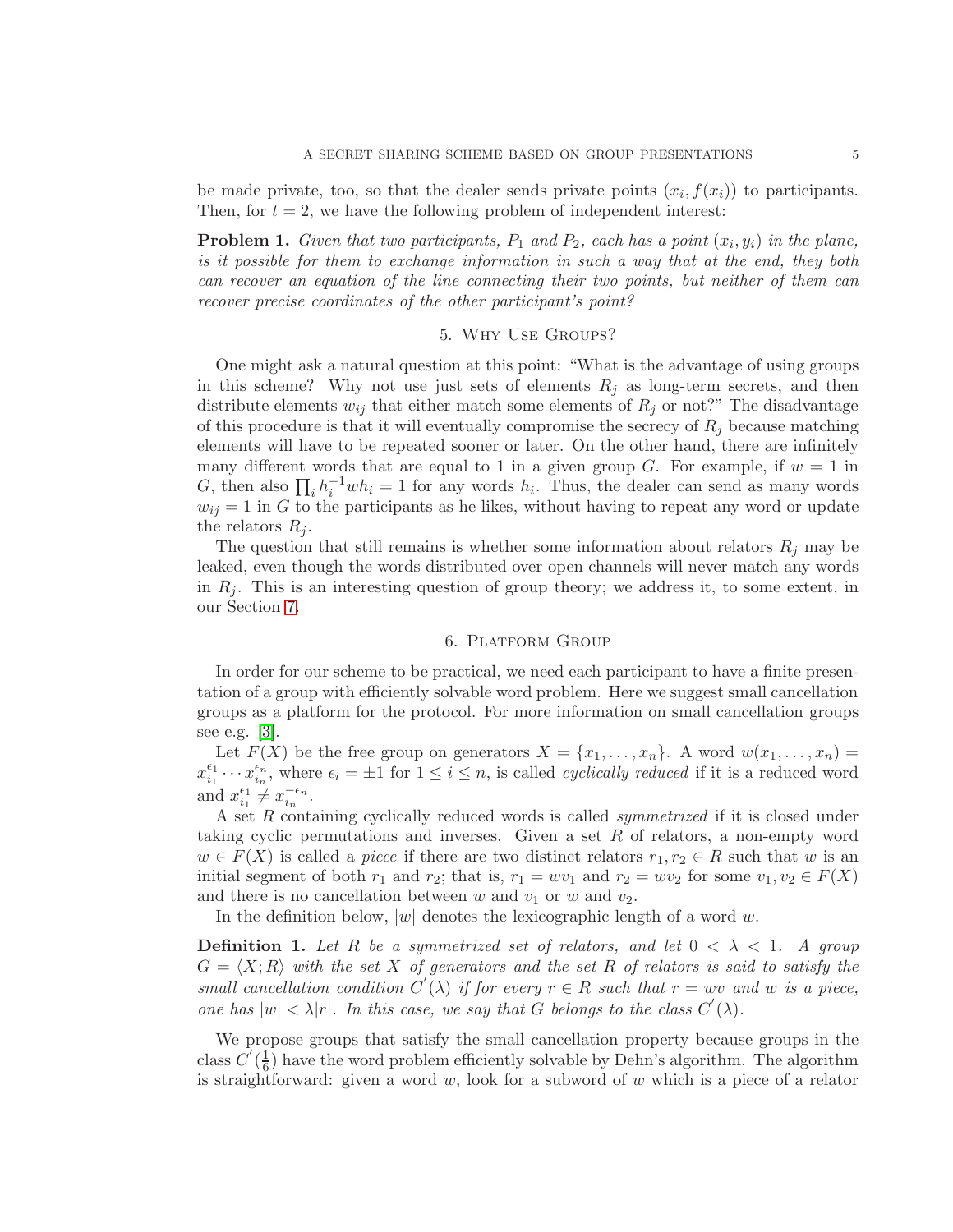be made private, too, so that the dealer sends private points  $(x_i, f(x_i))$  to participants. Then, for  $t = 2$ , we have the following problem of independent interest:

**Problem 1.** Given that two participants,  $P_1$  and  $P_2$ , each has a point  $(x_i, y_i)$  in the plane, is it possible for them to exchange information in such a way that at the end, they both can recover an equation of the line connecting their two points, but neither of them can recover precise coordinates of the other participant's point?

# 5. Why Use Groups?

One might ask a natural question at this point: "What is the advantage of using groups in this scheme? Why not use just sets of elements  $R_i$  as long-term secrets, and then distribute elements  $w_{ij}$  that either match some elements of  $R_j$  or not?" The disadvantage of this procedure is that it will eventually compromise the secrecy of  $R_i$  because matching elements will have to be repeated sooner or later. On the other hand, there are infinitely many different words that are equal to 1 in a given group G. For example, if  $w = 1$  in G, then also  $\prod_i h_i^{-1}wh_i = 1$  for any words  $h_i$ . Thus, the dealer can send as many words  $w_{ij} = 1$  in G to the participants as he likes, without having to repeat any word or update the relators  $R_i$ .

The question that still remains is whether some information about relators  $R_i$  may be leaked, even though the words distributed over open channels will never match any words in  $R_j$ . This is an interesting question of group theory; we address it, to some extent, in our Section [7.](#page-5-0)

### 6. Platform Group

<span id="page-4-0"></span>In order for our scheme to be practical, we need each participant to have a finite presentation of a group with efficiently solvable word problem. Here we suggest small cancellation groups as a platform for the protocol. For more information on small cancellation groups see e.g. [\[3\]](#page-7-6).

Let  $F(X)$  be the free group on generators  $X = \{x_1, \ldots, x_n\}$ . A word  $w(x_1, \ldots, x_n)$  $x_{i_1}^{\epsilon_1}$  $\epsilon_{i_1}^{\epsilon_1} \cdots x_{i_n}^{\epsilon_n}$ , where  $\epsilon_i = \pm 1$  for  $1 \leq i \leq n$ , is called *cyclically reduced* if it is a reduced word and  $x_{i_1}^{\epsilon_1}$  $\frac{\epsilon_1}{i_1} \neq x_{i_n}^{-\epsilon_n}$  $\frac{-\epsilon_n}{i_n}$ .

A set R containing cyclically reduced words is called *symmetrized* if it is closed under taking cyclic permutations and inverses. Given a set R of relators, a non-empty word  $w \in F(X)$  is called a piece if there are two distinct relators  $r_1, r_2 \in R$  such that w is an initial segment of both  $r_1$  and  $r_2$ ; that is,  $r_1 = wv_1$  and  $r_2 = wv_2$  for some  $v_1, v_2 \in F(X)$ and there is no cancellation between w and  $v_1$  or w and  $v_2$ .

In the definition below,  $|w|$  denotes the lexicographic length of a word w.

**Definition 1.** Let R be a symmetrized set of relators, and let  $0 < \lambda < 1$ . A group  $G = \langle X; R \rangle$  with the set X of generators and the set R of relators is said to satisfy the small cancellation condition  $C'(\lambda)$  if for every  $r \in R$  such that  $r = wv$  and w is a piece, one has  $|w| < \lambda |r|$ . In this case, we say that G belongs to the class  $C'(\lambda)$ .

We propose groups that satisfy the small cancellation property because groups in the class  $\vec{C'}(\frac{1}{6})$  $\frac{1}{6}$ ) have the word problem efficiently solvable by Dehn's algorithm. The algorithm is straightforward: given a word  $w$ , look for a subword of  $w$  which is a piece of a relator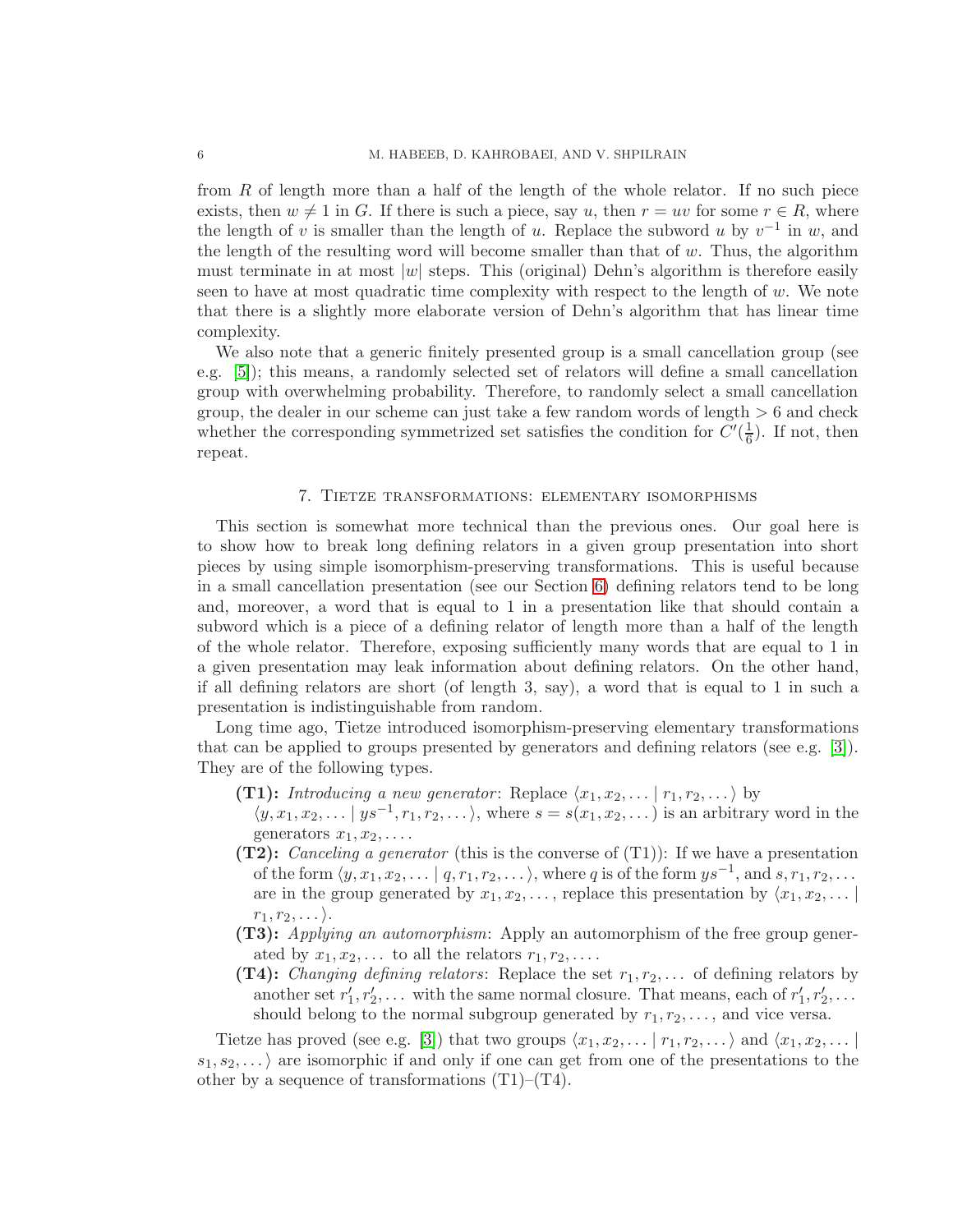from R of length more than a half of the length of the whole relator. If no such piece exists, then  $w \neq 1$  in G. If there is such a piece, say u, then  $r = uv$  for some  $r \in R$ , where the length of v is smaller than the length of u. Replace the subword u by  $v^{-1}$  in w, and the length of the resulting word will become smaller than that of  $w$ . Thus, the algorithm must terminate in at most  $|w|$  steps. This (original) Dehn's algorithm is therefore easily seen to have at most quadratic time complexity with respect to the length of  $w$ . We note that there is a slightly more elaborate version of Dehn's algorithm that has linear time complexity.

We also note that a generic finitely presented group is a small cancellation group (see e.g. [\[5\]](#page-7-7)); this means, a randomly selected set of relators will define a small cancellation group with overwhelming probability. Therefore, to randomly select a small cancellation group, the dealer in our scheme can just take a few random words of length  $> 6$  and check whether the corresponding symmetrized set satisfies the condition for  $C'(\frac{1}{6})$  $\frac{1}{6}$ ). If not, then repeat.

#### 7. Tietze transformations: elementary isomorphisms

<span id="page-5-0"></span>This section is somewhat more technical than the previous ones. Our goal here is to show how to break long defining relators in a given group presentation into short pieces by using simple isomorphism-preserving transformations. This is useful because in a small cancellation presentation (see our Section [6\)](#page-4-0) defining relators tend to be long and, moreover, a word that is equal to 1 in a presentation like that should contain a subword which is a piece of a defining relator of length more than a half of the length of the whole relator. Therefore, exposing sufficiently many words that are equal to 1 in a given presentation may leak information about defining relators. On the other hand, if all defining relators are short (of length 3, say), a word that is equal to 1 in such a presentation is indistinguishable from random.

Long time ago, Tietze introduced isomorphism-preserving elementary transformations that can be applied to groups presented by generators and defining relators (see e.g. [\[3\]](#page-7-6)). They are of the following types.

- (T1): Introducing a new generator: Replace  $\langle x_1, x_2, \ldots | r_1, r_2, \ldots \rangle$  by
- $\langle y, x_1, x_2, \dots | ys^{-1}, r_1, r_2, \dots \rangle$ , where  $s = s(x_1, x_2, \dots)$  is an arbitrary word in the generators  $x_1, x_2, \ldots$ .
- (T2): Canceling a generator (this is the converse of  $(T1)$ ): If we have a presentation of the form  $\langle y, x_1, x_2, \ldots | q, r_1, r_2, \ldots \rangle$ , where q is of the form  $ys^{-1}$ , and  $s, r_1, r_2, \ldots$ are in the group generated by  $x_1, x_2, \ldots$ , replace this presentation by  $\langle x_1, x_2, \ldots |$  $r_1, r_2, \ldots$ ).
- (T3): Applying an automorphism: Apply an automorphism of the free group generated by  $x_1, x_2, \ldots$  to all the relators  $r_1, r_2, \ldots$ .
- (T4): Changing defining relators: Replace the set  $r_1, r_2, \ldots$  of defining relators by another set  $r'_1, r'_2, \ldots$  with the same normal closure. That means, each of  $r'_1, r'_2, \ldots$ should belong to the normal subgroup generated by  $r_1, r_2, \ldots$ , and vice versa.

Tietze has proved (see e.g. [\[3\]](#page-7-6)) that two groups  $\langle x_1, x_2, \ldots | r_1, r_2, \ldots \rangle$  and  $\langle x_1, x_2, \ldots | r_1, r_2, \ldots \rangle$  $s_1, s_2, \ldots$  are isomorphic if and only if one can get from one of the presentations to the other by a sequence of transformations  $(T1)$ – $(T4)$ .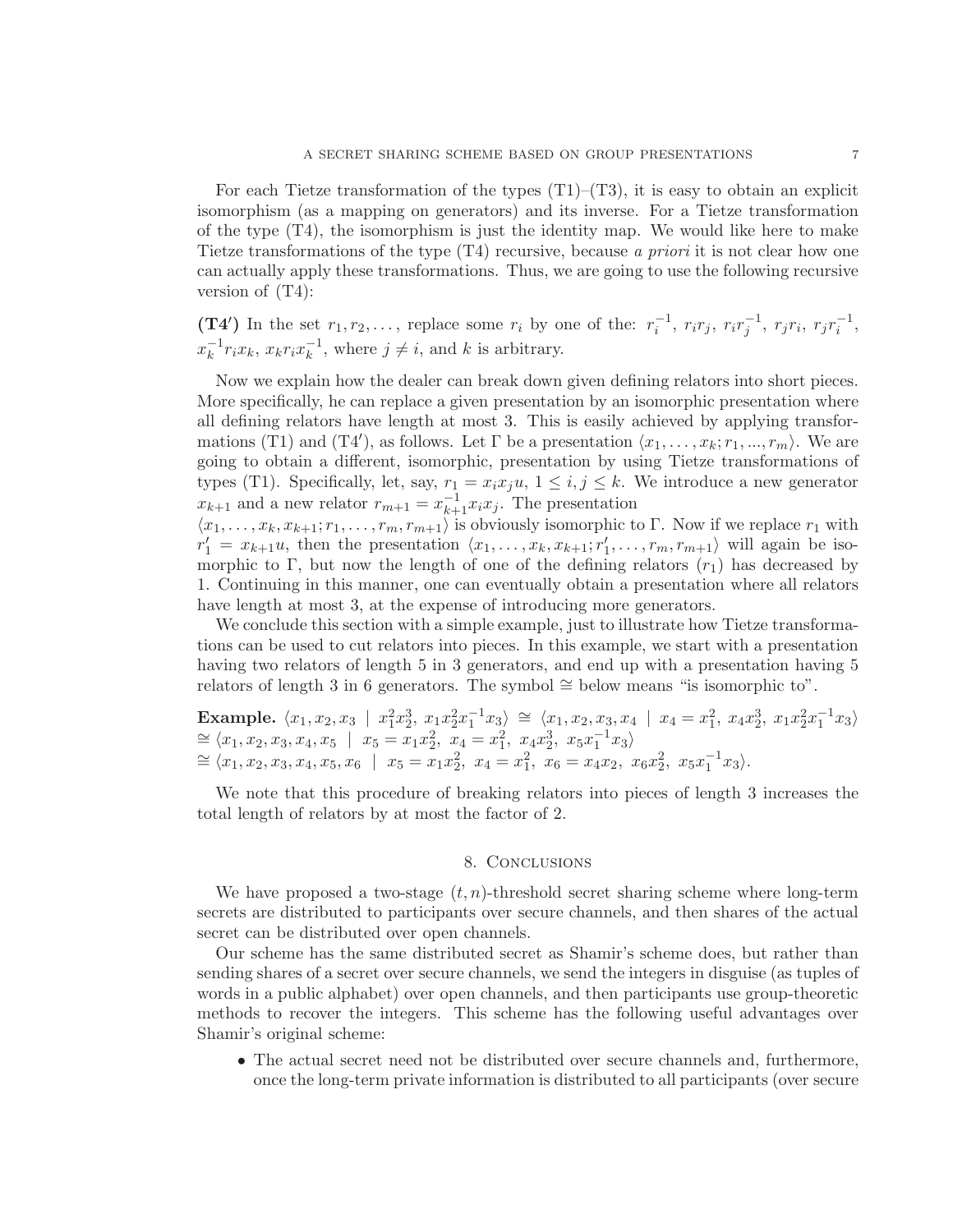For each Tietze transformation of the types  $(T1)$ – $(T3)$ , it is easy to obtain an explicit isomorphism (as a mapping on generators) and its inverse. For a Tietze transformation of the type  $(T4)$ , the isomorphism is just the identity map. We would like here to make Tietze transformations of the type (T4) recursive, because a priori it is not clear how one can actually apply these transformations. Thus, we are going to use the following recursive version of (T4):

(T4') In the set  $r_1, r_2, \ldots$ , replace some  $r_i$  by one of the:  $r_i^{-1}$ ,  $r_i r_j$ ,  $r_i r_j^{-1}$ ,  $r_j r_i$ ,  $r_j r_i^{-1}$ ,  $x_k^{-1}$  $\overline{k}^1 r_i x_k, x_k r_i x_k^{-1}$  $\overline{k}^1$ , where  $j \neq i$ , and k is arbitrary.

Now we explain how the dealer can break down given defining relators into short pieces. More specifically, he can replace a given presentation by an isomorphic presentation where all defining relators have length at most 3. This is easily achieved by applying transformations (T1) and (T4'), as follows. Let  $\Gamma$  be a presentation  $\langle x_1, \ldots, x_k; r_1, \ldots, r_m \rangle$ . We are going to obtain a different, isomorphic, presentation by using Tietze transformations of types (T1). Specifically, let, say,  $r_1 = x_i x_j u$ ,  $1 \leq i, j \leq k$ . We introduce a new generator  $x_{k+1}$  and a new relator  $r_{m+1} = x_{k+1}^{-1} x_i x_j$ . The presentation

 $\langle x_1, \ldots, x_k, x_{k+1}; r_1, \ldots, r_m, r_{m+1} \rangle$  is obviously isomorphic to Γ. Now if we replace  $r_1$  with  $r'_1 = x_{k+1}u$ , then the presentation  $\langle x_1, \ldots, x_k, x_{k+1}; r'_1, \ldots, r_m, r_{m+1} \rangle$  will again be isomorphic to Γ, but now the length of one of the defining relators  $(r_1)$  has decreased by 1. Continuing in this manner, one can eventually obtain a presentation where all relators have length at most 3, at the expense of introducing more generators.

We conclude this section with a simple example, just to illustrate how Tietze transformations can be used to cut relators into pieces. In this example, we start with a presentation having two relators of length 5 in 3 generators, and end up with a presentation having 5 relators of length 3 in 6 generators. The symbol ∼= below means "is isomorphic to".

Example.  $\langle x_1, x_2, x_3 | x_1^2 x_2^3, x_1 x_2^2 x_1^{-1} x_3 \rangle \cong \langle x_1, x_2, x_3, x_4 | x_4 = x_1^2, x_4 x_2^3, x_1 x_2^2 x_1^{-1} x_3 \rangle$  $\cong \langle x_1, x_2, x_3, x_4, x_5 \mid x_5 = x_1 x_2^2, x_4 = x_1^2, x_4 x_2^3, x_5 x_1^{-1} x_3 \rangle$  $\cong \langle x_1, x_2, x_3, x_4, x_5, x_6 \mid x_5 = x_1x_2^2, x_4 = x_1^2, x_6 = x_4x_2, x_6x_2^2, x_5x_1^{-1}x_3 \rangle.$ 

We note that this procedure of breaking relators into pieces of length 3 increases the total length of relators by at most the factor of 2.

### 8. Conclusions

We have proposed a two-stage  $(t, n)$ -threshold secret sharing scheme where long-term secrets are distributed to participants over secure channels, and then shares of the actual secret can be distributed over open channels.

Our scheme has the same distributed secret as Shamir's scheme does, but rather than sending shares of a secret over secure channels, we send the integers in disguise (as tuples of words in a public alphabet) over open channels, and then participants use group-theoretic methods to recover the integers. This scheme has the following useful advantages over Shamir's original scheme:

• The actual secret need not be distributed over secure channels and, furthermore, once the long-term private information is distributed to all participants (over secure